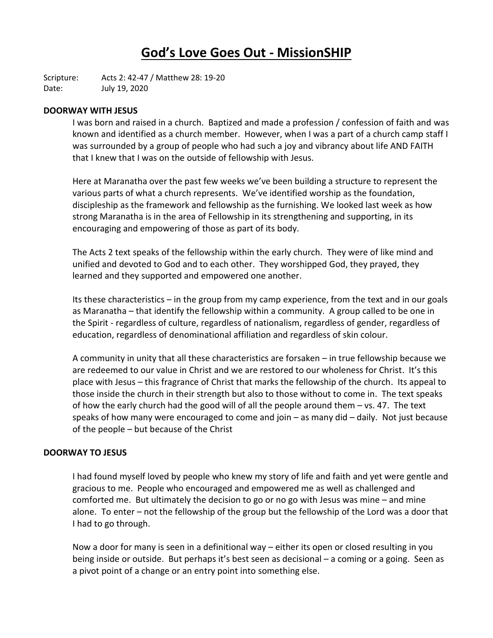# **God's Love Goes Out - MissionSHIP**

Scripture: Acts 2: 42-47 / Matthew 28: 19-20 Date: July 19, 2020

# **DOORWAY WITH JESUS**

I was born and raised in a church. Baptized and made a profession / confession of faith and was known and identified as a church member. However, when I was a part of a church camp staff I was surrounded by a group of people who had such a joy and vibrancy about life AND FAITH that I knew that I was on the outside of fellowship with Jesus.

Here at Maranatha over the past few weeks we've been building a structure to represent the various parts of what a church represents. We've identified worship as the foundation, discipleship as the framework and fellowship as the furnishing. We looked last week as how strong Maranatha is in the area of Fellowship in its strengthening and supporting, in its encouraging and empowering of those as part of its body.

The Acts 2 text speaks of the fellowship within the early church. They were of like mind and unified and devoted to God and to each other. They worshipped God, they prayed, they learned and they supported and empowered one another.

Its these characteristics – in the group from my camp experience, from the text and in our goals as Maranatha – that identify the fellowship within a community. A group called to be one in the Spirit - regardless of culture, regardless of nationalism, regardless of gender, regardless of education, regardless of denominational affiliation and regardless of skin colour.

A community in unity that all these characteristics are forsaken – in true fellowship because we are redeemed to our value in Christ and we are restored to our wholeness for Christ. It's this place with Jesus – this fragrance of Christ that marks the fellowship of the church. Its appeal to those inside the church in their strength but also to those without to come in. The text speaks of how the early church had the good will of all the people around them – vs. 47. The text speaks of how many were encouraged to come and join – as many did – daily. Not just because of the people – but because of the Christ

#### **DOORWAY TO JESUS**

I had found myself loved by people who knew my story of life and faith and yet were gentle and gracious to me. People who encouraged and empowered me as well as challenged and comforted me. But ultimately the decision to go or no go with Jesus was mine – and mine alone. To enter – not the fellowship of the group but the fellowship of the Lord was a door that I had to go through.

Now a door for many is seen in a definitional way – either its open or closed resulting in you being inside or outside. But perhaps it's best seen as decisional – a coming or a going. Seen as a pivot point of a change or an entry point into something else.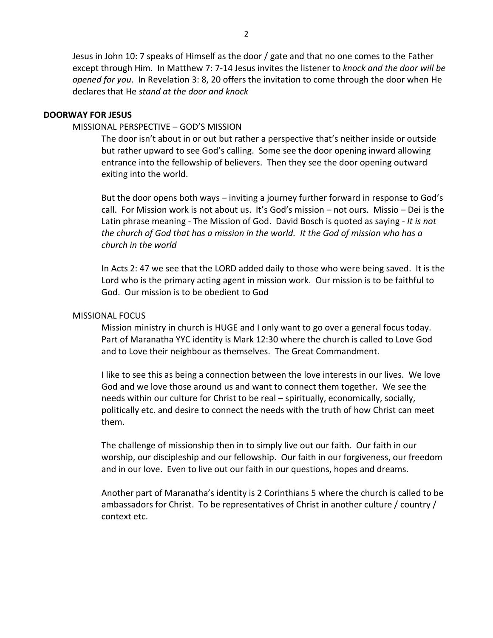Jesus in John 10: 7 speaks of Himself as the door / gate and that no one comes to the Father except through Him. In Matthew 7: 7-14 Jesus invites the listener to *knock and the door will be opened for you*. In Revelation 3: 8, 20 offers the invitation to come through the door when He declares that He *stand at the door and knock*

# **DOORWAY FOR JESUS**

# MISSIONAL PERSPECTIVE – GOD'S MISSION

The door isn't about in or out but rather a perspective that's neither inside or outside but rather upward to see God's calling. Some see the door opening inward allowing entrance into the fellowship of believers. Then they see the door opening outward exiting into the world.

But the door opens both ways – inviting a journey further forward in response to God's call. For Mission work is not about us. It's God's mission – not ours. Missio – Dei is the Latin phrase meaning - The Mission of God. David Bosch is quoted as saying - *It is not the church of God that has a mission in the world. It the God of mission who has a church in the world*

In Acts 2: 47 we see that the LORD added daily to those who were being saved. It is the Lord who is the primary acting agent in mission work. Our mission is to be faithful to God. Our mission is to be obedient to God

# MISSIONAL FOCUS

Mission ministry in church is HUGE and I only want to go over a general focus today. Part of Maranatha YYC identity is Mark 12:30 where the church is called to Love God and to Love their neighbour as themselves. The Great Commandment.

I like to see this as being a connection between the love interests in our lives. We love God and we love those around us and want to connect them together. We see the needs within our culture for Christ to be real – spiritually, economically, socially, politically etc. and desire to connect the needs with the truth of how Christ can meet them.

The challenge of missionship then in to simply live out our faith. Our faith in our worship, our discipleship and our fellowship. Our faith in our forgiveness, our freedom and in our love. Even to live out our faith in our questions, hopes and dreams.

Another part of Maranatha's identity is 2 Corinthians 5 where the church is called to be ambassadors for Christ. To be representatives of Christ in another culture / country / context etc.